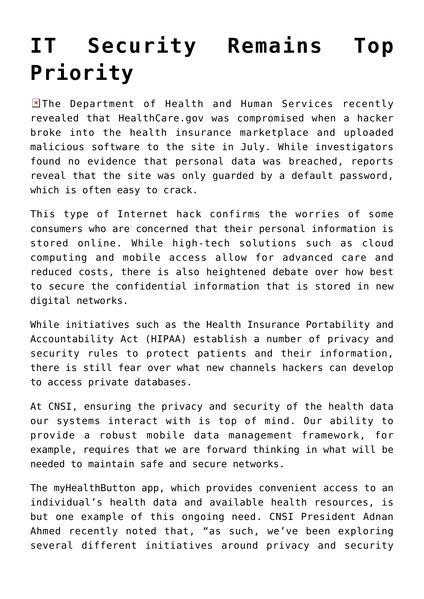## **[IT Security Remains Top](https://www.cns-inc.com/insights/thought-leadership/it-security-remains-top-priority/) [Priority](https://www.cns-inc.com/insights/thought-leadership/it-security-remains-top-priority/)**

 $\blacksquare$  The Department of Health and Human Services recently revealed that HealthCare.gov was compromised when a hacker broke into the health insurance marketplace and uploaded malicious software to the site in July. While investigators found no evidence that personal data was breached, reports reveal that the site was only guarded by a default password, which is often easy to crack.

This type of Internet hack confirms the worries of some consumers who are concerned that their personal information is stored online. While high-tech solutions such as cloud computing and mobile access allow for advanced care and reduced costs, there is also heightened debate over how best to secure the confidential information that is stored in new digital networks.

While initiatives such as the Health Insurance Portability and Accountability Act (HIPAA) establish a number of privacy and security rules to protect patients and their information, there is still fear over what new channels hackers can develop to access private databases.

At CNSI, ensuring the privacy and security of the health data our systems interact with is top of mind. Our ability to provide a robust mobile data management framework, for example, requires that we are forward thinking in what will be needed to maintain safe and secure networks.

The myHealthButton app, which provides convenient access to an individual's health data and available health resources, is but one example of this ongoing need. CNSI President Adnan Ahmed recently noted that, "as such, we've been exploring several different initiatives around privacy and security